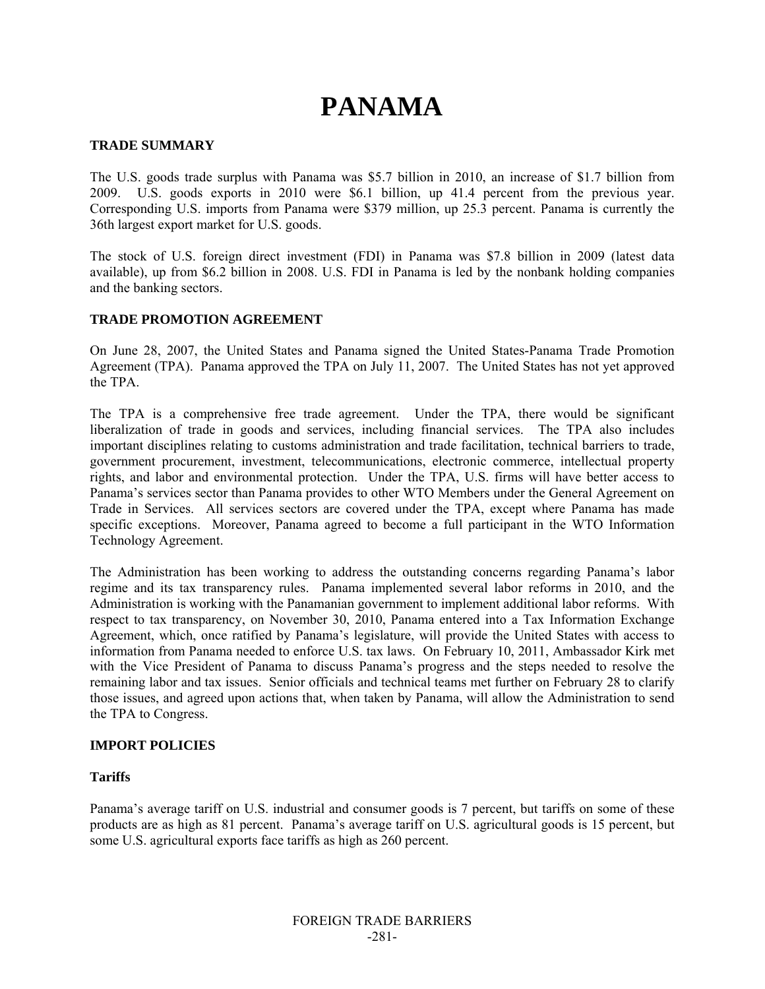# **PANAMA**

### **TRADE SUMMARY**

The U.S. goods trade surplus with Panama was \$5.7 billion in 2010, an increase of \$1.7 billion from 2009. U.S. goods exports in 2010 were \$6.1 billion, up 41.4 percent from the previous year. Corresponding U.S. imports from Panama were \$379 million, up 25.3 percent. Panama is currently the 36th largest export market for U.S. goods.

The stock of U.S. foreign direct investment (FDI) in Panama was \$7.8 billion in 2009 (latest data available), up from \$6.2 billion in 2008. U.S. FDI in Panama is led by the nonbank holding companies and the banking sectors.

# **TRADE PROMOTION AGREEMENT**

On June 28, 2007, the United States and Panama signed the United States-Panama Trade Promotion Agreement (TPA). Panama approved the TPA on July 11, 2007. The United States has not yet approved the TPA.

The TPA is a comprehensive free trade agreement. Under the TPA, there would be significant liberalization of trade in goods and services, including financial services. The TPA also includes important disciplines relating to customs administration and trade facilitation, technical barriers to trade, government procurement, investment, telecommunications, electronic commerce, intellectual property rights, and labor and environmental protection. Under the TPA, U.S. firms will have better access to Panama's services sector than Panama provides to other WTO Members under the General Agreement on Trade in Services. All services sectors are covered under the TPA, except where Panama has made specific exceptions. Moreover, Panama agreed to become a full participant in the WTO Information Technology Agreement.

The Administration has been working to address the outstanding concerns regarding Panama's labor regime and its tax transparency rules. Panama implemented several labor reforms in 2010, and the Administration is working with the Panamanian government to implement additional labor reforms. With respect to tax transparency, on November 30, 2010, Panama entered into a Tax Information Exchange Agreement, which, once ratified by Panama's legislature, will provide the United States with access to information from Panama needed to enforce U.S. tax laws. On February 10, 2011, Ambassador Kirk met with the Vice President of Panama to discuss Panama's progress and the steps needed to resolve the remaining labor and tax issues. Senior officials and technical teams met further on February 28 to clarify those issues, and agreed upon actions that, when taken by Panama, will allow the Administration to send the TPA to Congress.

# **IMPORT POLICIES**

#### **Tariffs**

Panama's average tariff on U.S. industrial and consumer goods is 7 percent, but tariffs on some of these products are as high as 81 percent. Panama's average tariff on U.S. agricultural goods is 15 percent, but some U.S. agricultural exports face tariffs as high as 260 percent.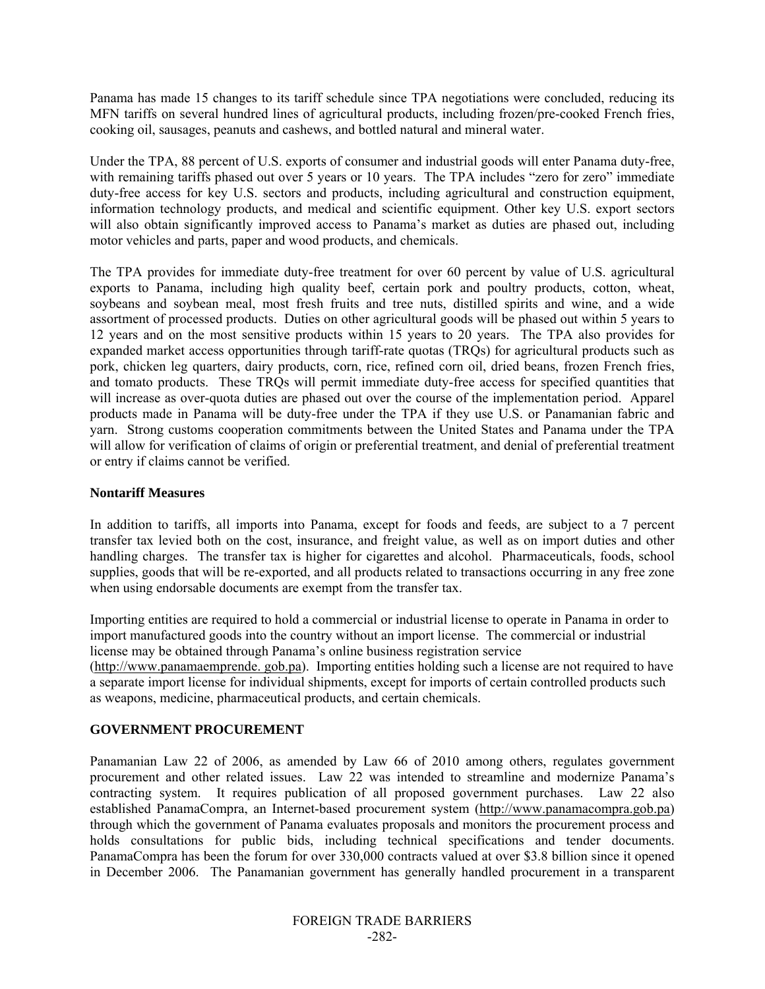Panama has made 15 changes to its tariff schedule since TPA negotiations were concluded, reducing its MFN tariffs on several hundred lines of agricultural products, including frozen/pre-cooked French fries, cooking oil, sausages, peanuts and cashews, and bottled natural and mineral water.

Under the TPA, 88 percent of U.S. exports of consumer and industrial goods will enter Panama duty-free, with remaining tariffs phased out over 5 years or 10 years. The TPA includes "zero for zero" immediate duty-free access for key U.S. sectors and products, including agricultural and construction equipment, information technology products, and medical and scientific equipment. Other key U.S. export sectors will also obtain significantly improved access to Panama's market as duties are phased out, including motor vehicles and parts, paper and wood products, and chemicals.

The TPA provides for immediate duty-free treatment for over 60 percent by value of U.S. agricultural exports to Panama, including high quality beef, certain pork and poultry products, cotton, wheat, soybeans and soybean meal, most fresh fruits and tree nuts, distilled spirits and wine, and a wide assortment of processed products. Duties on other agricultural goods will be phased out within 5 years to 12 years and on the most sensitive products within 15 years to 20 years. The TPA also provides for expanded market access opportunities through tariff-rate quotas (TRQs) for agricultural products such as pork, chicken leg quarters, dairy products, corn, rice, refined corn oil, dried beans, frozen French fries, and tomato products. These TRQs will permit immediate duty-free access for specified quantities that will increase as over-quota duties are phased out over the course of the implementation period. Apparel products made in Panama will be duty-free under the TPA if they use U.S. or Panamanian fabric and yarn. Strong customs cooperation commitments between the United States and Panama under the TPA will allow for verification of claims of origin or preferential treatment, and denial of preferential treatment or entry if claims cannot be verified.

#### **Nontariff Measures**

In addition to tariffs, all imports into Panama, except for foods and feeds, are subject to a 7 percent transfer tax levied both on the cost, insurance, and freight value, as well as on import duties and other handling charges. The transfer tax is higher for cigarettes and alcohol. Pharmaceuticals, foods, school supplies, goods that will be re-exported, and all products related to transactions occurring in any free zone when using endorsable documents are exempt from the transfer tax.

Importing entities are required to hold a commercial or industrial license to operate in Panama in order to import manufactured goods into the country without an import license. The commercial or industrial license may be obtained through Panama's online business registration service

(http://www.panamaemprende. gob.pa). Importing entities holding such a license are not required to have a separate import license for individual shipments, except for imports of certain controlled products such as weapons, medicine, pharmaceutical products, and certain chemicals.

# **GOVERNMENT PROCUREMENT**

Panamanian Law 22 of 2006, as amended by Law 66 of 2010 among others, regulates government procurement and other related issues. Law 22 was intended to streamline and modernize Panama's contracting system. It requires publication of all proposed government purchases. Law 22 also established PanamaCompra, an Internet-based procurement system (http://www.panamacompra.gob.pa) through which the government of Panama evaluates proposals and monitors the procurement process and holds consultations for public bids, including technical specifications and tender documents. PanamaCompra has been the forum for over 330,000 contracts valued at over \$3.8 billion since it opened in December 2006. The Panamanian government has generally handled procurement in a transparent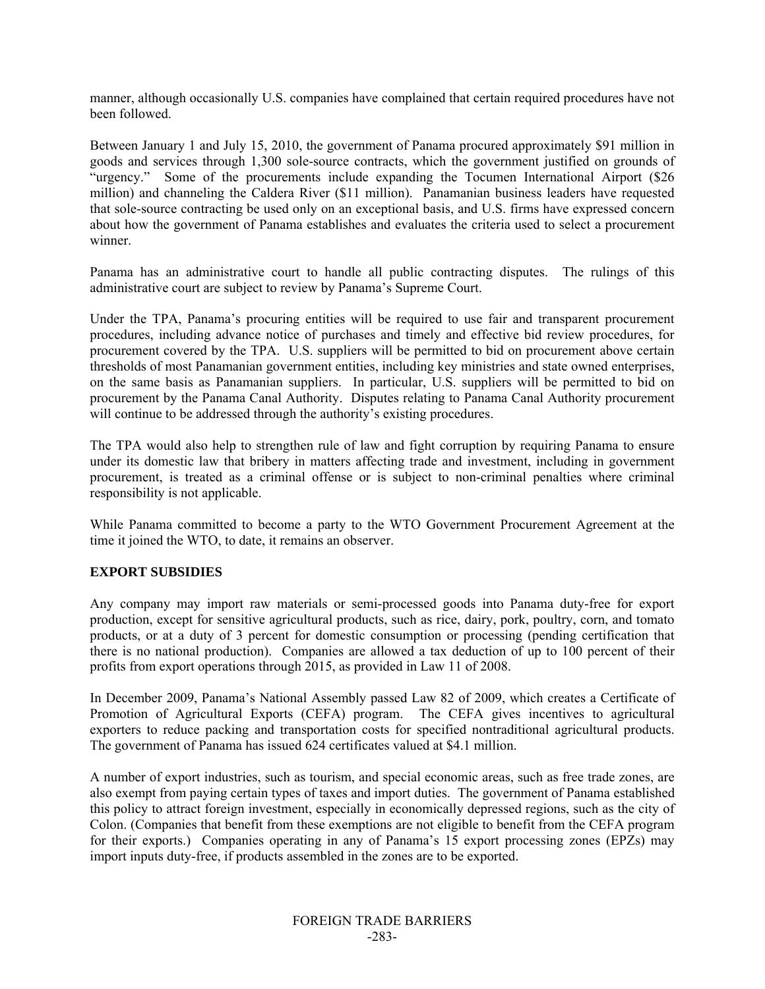manner, although occasionally U.S. companies have complained that certain required procedures have not been followed.

Between January 1 and July 15, 2010, the government of Panama procured approximately \$91 million in goods and services through 1,300 sole-source contracts, which the government justified on grounds of "urgency." Some of the procurements include expanding the Tocumen International Airport (\$26 million) and channeling the Caldera River (\$11 million). Panamanian business leaders have requested that sole-source contracting be used only on an exceptional basis, and U.S. firms have expressed concern about how the government of Panama establishes and evaluates the criteria used to select a procurement winner.

Panama has an administrative court to handle all public contracting disputes. The rulings of this administrative court are subject to review by Panama's Supreme Court.

Under the TPA, Panama's procuring entities will be required to use fair and transparent procurement procedures, including advance notice of purchases and timely and effective bid review procedures, for procurement covered by the TPA. U.S. suppliers will be permitted to bid on procurement above certain thresholds of most Panamanian government entities, including key ministries and state owned enterprises, on the same basis as Panamanian suppliers. In particular, U.S. suppliers will be permitted to bid on procurement by the Panama Canal Authority. Disputes relating to Panama Canal Authority procurement will continue to be addressed through the authority's existing procedures.

The TPA would also help to strengthen rule of law and fight corruption by requiring Panama to ensure under its domestic law that bribery in matters affecting trade and investment, including in government procurement, is treated as a criminal offense or is subject to non-criminal penalties where criminal responsibility is not applicable.

While Panama committed to become a party to the WTO Government Procurement Agreement at the time it joined the WTO, to date, it remains an observer.

#### **EXPORT SUBSIDIES**

Any company may import raw materials or semi-processed goods into Panama duty-free for export production, except for sensitive agricultural products, such as rice, dairy, pork, poultry, corn, and tomato products, or at a duty of 3 percent for domestic consumption or processing (pending certification that there is no national production). Companies are allowed a tax deduction of up to 100 percent of their profits from export operations through 2015, as provided in Law 11 of 2008.

In December 2009, Panama's National Assembly passed Law 82 of 2009, which creates a Certificate of Promotion of Agricultural Exports (CEFA) program. The CEFA gives incentives to agricultural exporters to reduce packing and transportation costs for specified nontraditional agricultural products. The government of Panama has issued 624 certificates valued at \$4.1 million.

A number of export industries, such as tourism, and special economic areas, such as free trade zones, are also exempt from paying certain types of taxes and import duties. The government of Panama established this policy to attract foreign investment, especially in economically depressed regions, such as the city of Colon. (Companies that benefit from these exemptions are not eligible to benefit from the CEFA program for their exports.) Companies operating in any of Panama's 15 export processing zones (EPZs) may import inputs duty-free, if products assembled in the zones are to be exported.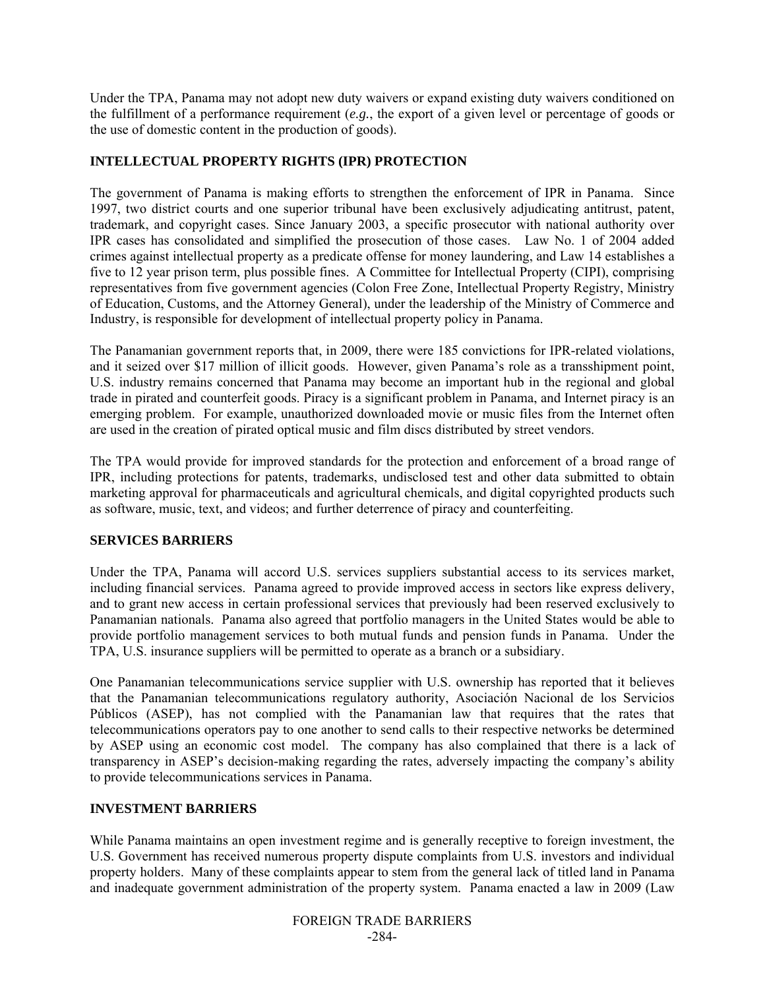Under the TPA, Panama may not adopt new duty waivers or expand existing duty waivers conditioned on the fulfillment of a performance requirement (*e.g.*, the export of a given level or percentage of goods or the use of domestic content in the production of goods).

# **INTELLECTUAL PROPERTY RIGHTS (IPR) PROTECTION**

The government of Panama is making efforts to strengthen the enforcement of IPR in Panama. Since 1997, two district courts and one superior tribunal have been exclusively adjudicating antitrust, patent, trademark, and copyright cases. Since January 2003, a specific prosecutor with national authority over IPR cases has consolidated and simplified the prosecution of those cases. Law No. 1 of 2004 added crimes against intellectual property as a predicate offense for money laundering, and Law 14 establishes a five to 12 year prison term, plus possible fines. A Committee for Intellectual Property (CIPI), comprising representatives from five government agencies (Colon Free Zone, Intellectual Property Registry, Ministry of Education, Customs, and the Attorney General), under the leadership of the Ministry of Commerce and Industry, is responsible for development of intellectual property policy in Panama.

The Panamanian government reports that, in 2009, there were 185 convictions for IPR-related violations, and it seized over \$17 million of illicit goods. However, given Panama's role as a transshipment point, U.S. industry remains concerned that Panama may become an important hub in the regional and global trade in pirated and counterfeit goods. Piracy is a significant problem in Panama, and Internet piracy is an emerging problem. For example, unauthorized downloaded movie or music files from the Internet often are used in the creation of pirated optical music and film discs distributed by street vendors.

The TPA would provide for improved standards for the protection and enforcement of a broad range of IPR, including protections for patents, trademarks, undisclosed test and other data submitted to obtain marketing approval for pharmaceuticals and agricultural chemicals, and digital copyrighted products such as software, music, text, and videos; and further deterrence of piracy and counterfeiting.

# **SERVICES BARRIERS**

Under the TPA, Panama will accord U.S. services suppliers substantial access to its services market, including financial services. Panama agreed to provide improved access in sectors like express delivery, and to grant new access in certain professional services that previously had been reserved exclusively to Panamanian nationals. Panama also agreed that portfolio managers in the United States would be able to provide portfolio management services to both mutual funds and pension funds in Panama. Under the TPA, U.S. insurance suppliers will be permitted to operate as a branch or a subsidiary.

One Panamanian telecommunications service supplier with U.S. ownership has reported that it believes that the Panamanian telecommunications regulatory authority, Asociación Nacional de los Servicios Públicos (ASEP), has not complied with the Panamanian law that requires that the rates that telecommunications operators pay to one another to send calls to their respective networks be determined by ASEP using an economic cost model. The company has also complained that there is a lack of transparency in ASEP's decision-making regarding the rates, adversely impacting the company's ability to provide telecommunications services in Panama.

# **INVESTMENT BARRIERS**

While Panama maintains an open investment regime and is generally receptive to foreign investment, the U.S. Government has received numerous property dispute complaints from U.S. investors and individual property holders. Many of these complaints appear to stem from the general lack of titled land in Panama and inadequate government administration of the property system. Panama enacted a law in 2009 (Law